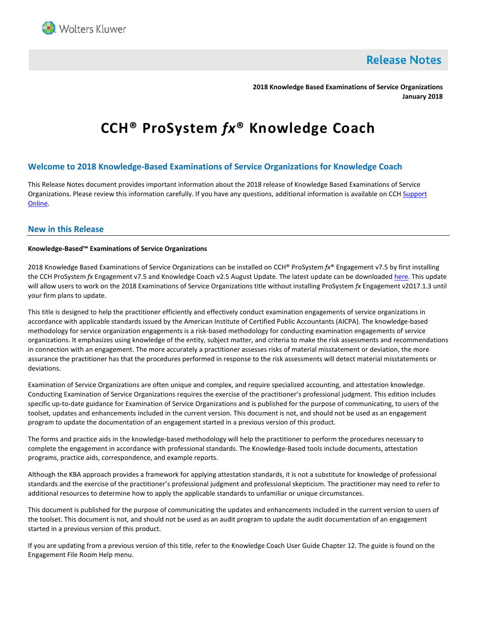

**Release Notes** 

**2018 Knowledge Based Examinations of Service Organizations January 2018**

# **CCH® ProSystem** *fx***® Knowledge Coach**

# **Welcome to 2018 Knowledge-Based Examinations of Service Organizations for Knowledge Coach**

This Release Notes document provides important information about the 2018 release of Knowledge Based Examinations of Service Organizations. Please review this information carefully. If you have any questions, additional information is available on CCH Support [Online.](http://support.cch.com/productsupport/)

## **New in this Release**

#### **Knowledge-Based™ Examinations of Service Organizations**

2018 Knowledge Based Examinations of Service Organizations can be installed on CCH® ProSystem *fx*® Engagement v7.5 by first installing the CCH ProSystem *fx* Engagement v7.5 and Knowledge Coach v2.5 August Update. The latest update can be downloade[d here.](https://support.cch.com/updates/Engagement/patch75/patch75.aspx) This update will allow users to work on the 2018 Examinations of Service Organizations title without installing ProSystem *fx* Engagement v2017.1.3 until your firm plans to update.

This title is designed to help the practitioner efficiently and effectively conduct examination engagements of service organizations in accordance with applicable standards issued by the American Institute of Certified Public Accountants (AICPA). The knowledge-based methodology for service organization engagements is a risk-based methodology for conducting examination engagements of service organizations. It emphasizes using knowledge of the entity, subject matter, and criteria to make the risk assessments and recommendations in connection with an engagement. The more accurately a practitioner assesses risks of material misstatement or deviation, the more assurance the practitioner has that the procedures performed in response to the risk assessments will detect material misstatements or deviations.

Examination of Service Organizations are often unique and complex, and require specialized accounting, and attestation knowledge. Conducting Examination of Service Organizations requires the exercise of the practitioner's professional judgment. This edition includes specific up-to-date guidance for Examination of Service Organizations and is published for the purpose of communicating, to users of the toolset, updates and enhancements included in the current version. This document is not, and should not be used as an engagement program to update the documentation of an engagement started in a previous version of this product.

The forms and practice aids in the knowledge-based methodology will help the practitioner to perform the procedures necessary to complete the engagement in accordance with professional standards. The Knowledge-Based tools include documents, attestation programs, practice aids, correspondence, and example reports.

Although the KBA approach provides a framework for applying attestation standards, it is not a substitute for knowledge of professional standards and the exercise of the practitioner's professional judgment and professional skepticism. The practitioner may need to refer to additional resources to determine how to apply the applicable standards to unfamiliar or unique circumstances.

This document is published for the purpose of communicating the updates and enhancements included in the current version to users of the toolset. This document is not, and should not be used as an audit program to update the audit documentation of an engagement started in a previous version of this product.

If you are updating from a previous version of this title, refer to the Knowledge Coach User Guide Chapter 12. The guide is found on the Engagement File Room Help menu.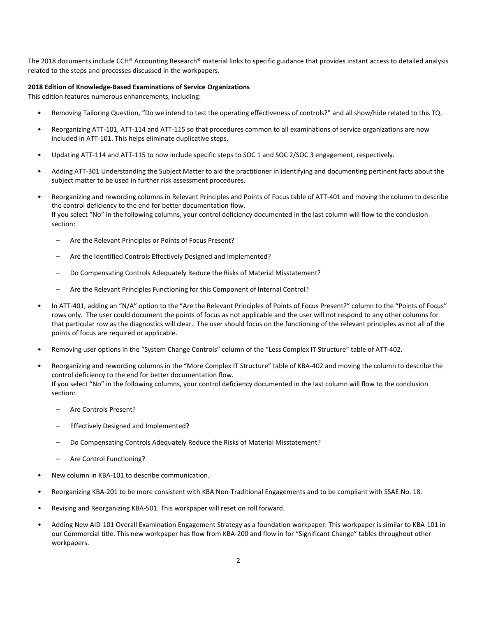The 2018 documents include CCH® Accounting Research® material links to specific guidance that provides instant access to detailed analysis related to the steps and processes discussed in the workpapers.

## **2018 Edition of Knowledge-Based Examinations of Service Organizations**

This edition features numerous enhancements, including:

- Removing Tailoring Question, "Do we intend to test the operating effectiveness of controls?" and all show/hide related to this TQ.
- Reorganizing ATT-101, ATT-114 and ATT-115 so that procedures common to all examinations of service organizations are now included in ATT-101. This helps eliminate duplicative steps.
- Updating ATT-114 and ATT-115 to now include specific steps to SOC 1 and SOC 2/SOC 3 engagement, respectively.
- Adding ATT-301 Understanding the Subject Matter to aid the practitioner in identifying and documenting pertinent facts about the subject matter to be used in further risk assessment procedures.
- Reorganizing and rewording columns in Relevant Principles and Points of Focus table of ATT-401 and moving the column to describe the control deficiency to the end for better documentation flow. If you select "No" in the following columns, your control deficiency documented in the last column will flow to the conclusion section:
	- Are the Relevant Principles or Points of Focus Present?
	- Are the Identified Controls Effectively Designed and Implemented?
	- Do Compensating Controls Adequately Reduce the Risks of Material Misstatement?
	- Are the Relevant Principles Functioning for this Component of Internal Control?
- In ATT-401, adding an "N/A" option to the "Are the Relevant Principles of Points of Focus Present?" column to the "Points of Focus" rows only. The user could document the points of focus as not applicable and the user will not respond to any other columns for that particular row as the diagnostics will clear. The user should focus on the functioning of the relevant principles as not all of the points of focus are required or applicable.
- Removing user options in the "System Change Controls" column of the "Less Complex IT Structure" table of ATT-402.
- Reorganizing and rewording columns in the "More Complex IT Structure" table of KBA-402 and moving the column to describe the control deficiency to the end for better documentation flow. If you select "No" in the following columns, your control deficiency documented in the last column will flow to the conclusion section:
	- Are Controls Present?
	- Effectively Designed and Implemented?
	- Do Compensating Controls Adequately Reduce the Risks of Material Misstatement?
	- Are Control Functioning?
- New column in KBA-101 to describe communication.
- Reorganizing KBA-201 to be more consistent with KBA Non-Traditional Engagements and to be compliant with SSAE No. 18.
- Revising and Reorganizing KBA-501. This workpaper will reset on roll forward.
- Adding New AID-101 Overall Examination Engagement Strategy as a foundation workpaper. This workpaper is similar to KBA-101 in our Commercial title. This new workpaper has flow from KBA-200 and flow in for "Significant Change" tables throughout other workpapers.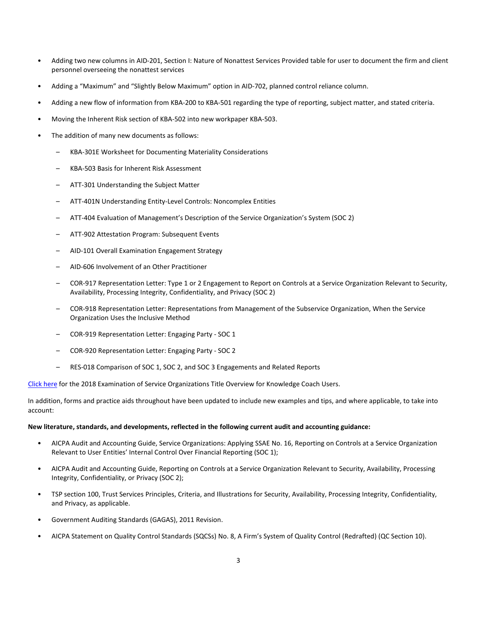- Adding two new columns in AID-201, Section I: Nature of Nonattest Services Provided table for user to document the firm and client personnel overseeing the nonattest services
- Adding a "Maximum" and "Slightly Below Maximum" option in AID-702, planned control reliance column.
- Adding a new flow of information from KBA-200 to KBA-501 regarding the type of reporting, subject matter, and stated criteria.
- Moving the Inherent Risk section of KBA-502 into new workpaper KBA-503.
- The addition of many new documents as follows:
	- KBA-301E Worksheet for Documenting Materiality Considerations
	- KBA-503 Basis for Inherent Risk Assessment
	- ATT-301 Understanding the Subject Matter
	- ATT-401N Understanding Entity-Level Controls: Noncomplex Entities
	- ATT-404 Evaluation of Management's Description of the Service Organization's System (SOC 2)
	- ATT-902 Attestation Program: Subsequent Events
	- AID-101 Overall Examination Engagement Strategy
	- AID-606 Involvement of an Other Practitioner
	- COR-917 Representation Letter: Type 1 or 2 Engagement to Report on Controls at a Service Organization Relevant to Security, Availability, Processing Integrity, Confidentiality, and Privacy (SOC 2)
	- COR-918 Representation Letter: Representations from Management of the Subservice Organization, When the Service Organization Uses the Inclusive Method
	- COR-919 Representation Letter: Engaging Party SOC 1
	- COR-920 Representation Letter: Engaging Party SOC 2
	- RES-018 Comparison of SOC 1, SOC 2, and SOC 3 Engagements and Related Reports

[Click here](http://support.cch.com/updates/KnowledgeCoach/pdf/guides_tab/2018%20Service%20Organizations%20Title%20Overview%20for%20Knowledge%20Coach%20Users.pdf) for the 2018 Examination of Service Organizations Title Overview for Knowledge Coach Users.

In addition, forms and practice aids throughout have been updated to include new examples and tips, and where applicable, to take into account:

## **New literature, standards, and developments, reflected in the following current audit and accounting guidance:**

- AICPA Audit and Accounting Guide, Service Organizations: Applying SSAE No. 16, Reporting on Controls at a Service Organization Relevant to User Entities' Internal Control Over Financial Reporting (SOC 1);
- AICPA Audit and Accounting Guide, Reporting on Controls at a Service Organization Relevant to Security, Availability, Processing Integrity, Confidentiality, or Privacy (SOC 2);
- TSP section 100, Trust Services Principles, Criteria, and Illustrations for Security, Availability, Processing Integrity, Confidentiality, and Privacy, as applicable.
- Government Auditing Standards (GAGAS), 2011 Revision.
- AICPA Statement on Quality Control Standards (SQCSs) No. 8, A Firm's System of Quality Control (Redrafted) (QC Section 10).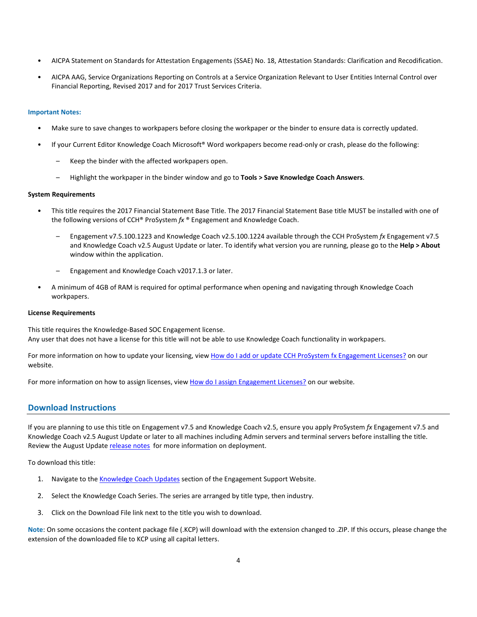- AICPA Statement on Standards for Attestation Engagements (SSAE) No. 18, Attestation Standards: Clarification and Recodification.
- AICPA AAG, Service Organizations Reporting on Controls at a Service Organization Relevant to User Entities Internal Control over Financial Reporting, Revised 2017 and for 2017 Trust Services Criteria.

#### **Important Notes:**

- Make sure to save changes to workpapers before closing the workpaper or the binder to ensure data is correctly updated.
- If your Current Editor Knowledge Coach Microsoft® Word workpapers become read-only or crash, please do the following:
	- Keep the binder with the affected workpapers open.
	- Highlight the workpaper in the binder window and go to **Tools > Save Knowledge Coach Answers**.

#### **System Requirements**

- This title requires the 2017 Financial Statement Base Title. The 2017 Financial Statement Base title MUST be installed with one of the following versions of CCH® ProSystem *fx* ® Engagement and Knowledge Coach.
	- Engagement v7.5.100.1223 and Knowledge Coach v2.5.100.1224 available through the CCH ProSystem *fx* Engagement v7.5 and Knowledge Coach v2.5 August Update or later. To identify what version you are running, please go to the **Help > About** window within the application.
	- Engagement and Knowledge Coach v2017.1.3 or later.
- A minimum of 4GB of RAM is required for optimal performance when opening and navigating through Knowledge Coach workpapers.

#### **License Requirements**

This title requires the Knowledge-Based SOC Engagement license. Any user that does not have a license for this title will not be able to use Knowledge Coach functionality in workpapers.

For more information on how to update your licensing, vie[w How do I add or update CCH ProSystem fx Engagement Licenses?](https://support.cch.com/kb/solution.aspx/sw3937) on our website.

For more information on how to assign licenses, view [How do I assign Engagement Licenses?](https://support.cch.com/kb/solution.aspx/sw3943) on our website.

# **Download Instructions**

If you are planning to use this title on Engagement v7.5 and Knowledge Coach v2.5, ensure you apply ProSystem *fx* Engagement v7.5 and Knowledge Coach v2.5 August Update or later to all machines including Admin servers and terminal servers before installing the title. Review the August Update [release notes](https://support.cch.com/updates/Engagement/patch75/Engagement%20and%20KC%20July%202017%20Update%20Release%20Notes.pdf) for more information on deployment.

To download this title:

- 1. Navigate to the [Knowledge Coach Updates](http://support.cch.com/updates/KnowledgeCoach) section of the Engagement Support Website.
- 2. Select the Knowledge Coach Series. The series are arranged by title type, then industry.
- 3. Click on the Download File link next to the title you wish to download.

**Note**: On some occasions the content package file (.KCP) will download with the extension changed to .ZIP. If this occurs, please change the extension of the downloaded file to KCP using all capital letters.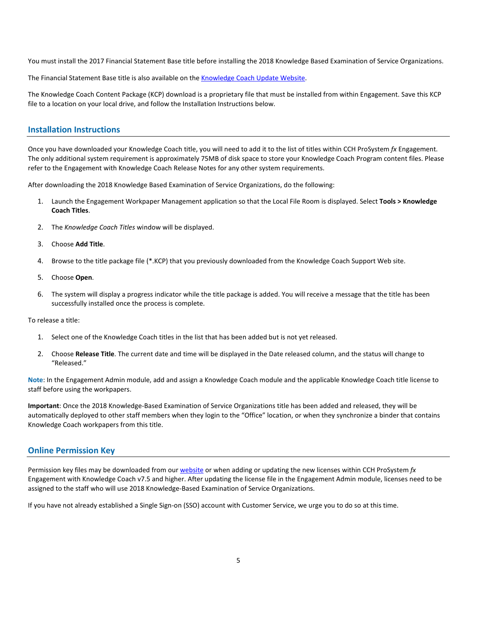You must install the 2017 Financial Statement Base title before installing the 2018 Knowledge Based Examination of Service Organizations.

The Financial Statement Base title is also available on th[e Knowledge Coach Update Website.](http://support.cch.com/updates/KnowledgeCoach)

The Knowledge Coach Content Package (KCP) download is a proprietary file that must be installed from within Engagement. Save this KCP file to a location on your local drive, and follow the Installation Instructions below.

# **Installation Instructions**

Once you have downloaded your Knowledge Coach title, you will need to add it to the list of titles within CCH ProSystem *fx* Engagement. The only additional system requirement is approximately 75MB of disk space to store your Knowledge Coach Program content files. Please refer to the Engagement with Knowledge Coach Release Notes for any other system requirements.

After downloading the 2018 Knowledge Based Examination of Service Organizations, do the following:

- 1. Launch the Engagement Workpaper Management application so that the Local File Room is displayed. Select **Tools > Knowledge Coach Titles**.
- 2. The *Knowledge Coach Titles* window will be displayed.
- 3. Choose **Add Title**.
- 4. Browse to the title package file (\*.KCP) that you previously downloaded from the Knowledge Coach Support Web site.
- 5. Choose **Open**.
- 6. The system will display a progress indicator while the title package is added. You will receive a message that the title has been successfully installed once the process is complete.

To release a title:

- 1. Select one of the Knowledge Coach titles in the list that has been added but is not yet released.
- 2. Choose **Release Title**. The current date and time will be displayed in the Date released column, and the status will change to "Released."

**Note**: In the Engagement Admin module, add and assign a Knowledge Coach module and the applicable Knowledge Coach title license to staff before using the workpapers.

**Important**: Once the 2018 Knowledge-Based Examination of Service Organizations title has been added and released, they will be automatically deployed to other staff members when they login to the "Office" location, or when they synchronize a binder that contains Knowledge Coach workpapers from this title.

# **Online Permission Key**

Permission key files may be downloaded from ou[r website](https://prosystemfxsupport.tax.cchgroup.com/permkey/download.aspx) or when adding or updating the new licenses within CCH ProSystem *fx* Engagement with Knowledge Coach v7.5 and higher. After updating the license file in the Engagement Admin module, licenses need to be assigned to the staff who will use 2018 Knowledge-Based Examination of Service Organizations.

If you have not already established a Single Sign-on (SSO) account with Customer Service, we urge you to do so at this time.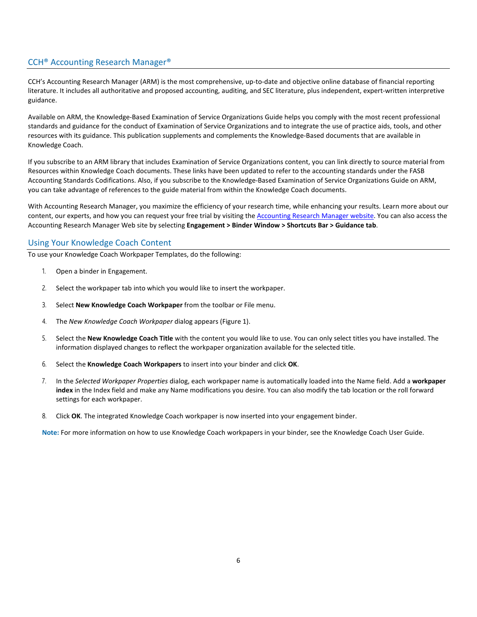# CCH® Accounting Research Manager®

CCH's Accounting Research Manager (ARM) is the most comprehensive, up-to-date and objective online database of financial reporting literature. It includes all authoritative and proposed accounting, auditing, and SEC literature, plus independent, expert-written interpretive guidance.

Available on ARM, the Knowledge-Based Examination of Service Organizations Guide helps you comply with the most recent professional standards and guidance for the conduct of Examination of Service Organizations and to integrate the use of practice aids, tools, and other resources with its guidance. This publication supplements and complements the Knowledge-Based documents that are available in Knowledge Coach.

If you subscribe to an ARM library that includes Examination of Service Organizations content, you can link directly to source material from Resources within Knowledge Coach documents. These links have been updated to refer to the accounting standards under the FASB Accounting Standards Codifications. Also, if you subscribe to the Knowledge-Based Examination of Service Organizations Guide on ARM, you can take advantage of references to the guide material from within the Knowledge Coach documents.

With Accounting Research Manager, you maximize the efficiency of your research time, while enhancing your results. Learn more about our content, our experts, and how you can request your free trial by visiting the [Accounting Research Manager website.](http://www.accountingresearchmanager.com/) You can also access the Accounting Research Manager Web site by selecting **Engagement > Binder Window > Shortcuts Bar > Guidance tab**.

# Using Your Knowledge Coach Content

To use your Knowledge Coach Workpaper Templates, do the following:

- 1. Open a binder in Engagement.
- 2. Select the workpaper tab into which you would like to insert the workpaper.
- 3. Select **New Knowledge Coach Workpaper** from the toolbar or File menu.
- 4. The *New Knowledge Coach Workpaper* dialog appears (Figure 1).
- 5. Select the **New Knowledge Coach Title** with the content you would like to use. You can only select titles you have installed. The information displayed changes to reflect the workpaper organization available for the selected title.
- 6. Select the **Knowledge Coach Workpapers** to insert into your binder and click **OK**.
- 7. In the *Selected Workpaper Properties* dialog, each workpaper name is automatically loaded into the Name field. Add a **workpaper index** in the Index field and make any Name modifications you desire. You can also modify the tab location or the roll forward settings for each workpaper.
- 8. Click **OK**. The integrated Knowledge Coach workpaper is now inserted into your engagement binder.

**Note:** For more information on how to use Knowledge Coach workpapers in your binder, see the Knowledge Coach User Guide.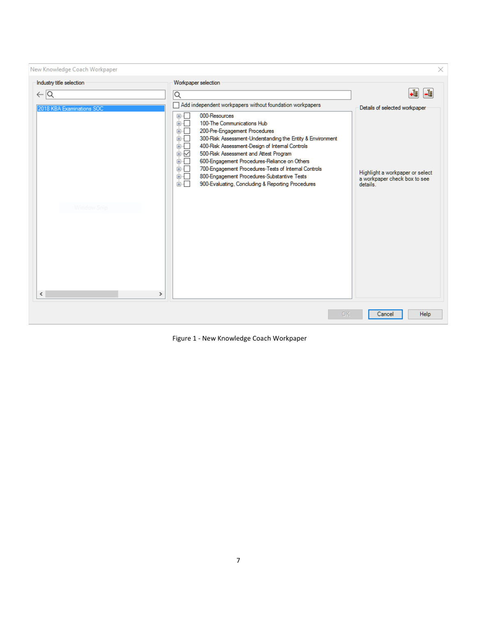

Figure 1 - New Knowledge Coach Workpaper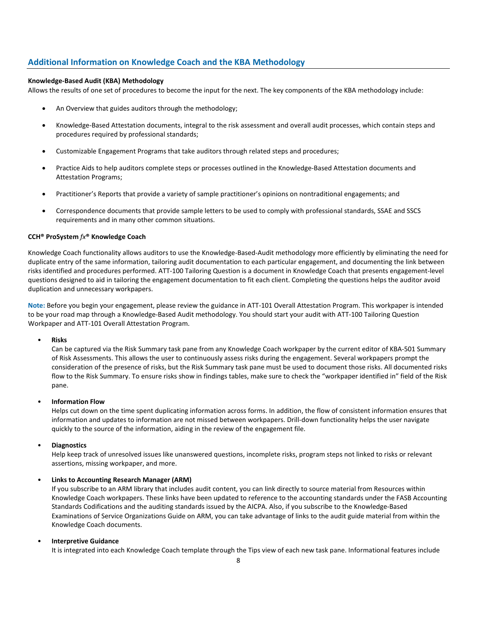# **Additional Information on Knowledge Coach and the KBA Methodology**

#### **Knowledge-Based Audit (KBA) Methodology**

Allows the results of one set of procedures to become the input for the next. The key components of the KBA methodology include:

- An Overview that guides auditors through the methodology;
- Knowledge-Based Attestation documents, integral to the risk assessment and overall audit processes, which contain steps and procedures required by professional standards;
- Customizable Engagement Programs that take auditors through related steps and procedures;
- Practice Aids to help auditors complete steps or processes outlined in the Knowledge-Based Attestation documents and Attestation Programs;
- Practitioner's Reports that provide a variety of sample practitioner's opinions on nontraditional engagements; and
- Correspondence documents that provide sample letters to be used to comply with professional standards, SSAE and SSCS requirements and in many other common situations.

#### **CCH® ProSystem** *fx***® Knowledge Coach**

Knowledge Coach functionality allows auditors to use the Knowledge-Based-Audit methodology more efficiently by eliminating the need for duplicate entry of the same information, tailoring audit documentation to each particular engagement, and documenting the link between risks identified and procedures performed. ATT-100 Tailoring Question is a document in Knowledge Coach that presents engagement-level questions designed to aid in tailoring the engagement documentation to fit each client. Completing the questions helps the auditor avoid duplication and unnecessary workpapers.

**Note:** Before you begin your engagement, please review the guidance in ATT-101 Overall Attestation Program. This workpaper is intended to be your road map through a Knowledge-Based Audit methodology. You should start your audit with ATT-100 Tailoring Question Workpaper and ATT-101 Overall Attestation Program.

#### • **Risks**

Can be captured via the Risk Summary task pane from any Knowledge Coach workpaper by the current editor of KBA-501 Summary of Risk Assessments. This allows the user to continuously assess risks during the engagement. Several workpapers prompt the consideration of the presence of risks, but the Risk Summary task pane must be used to document those risks. All documented risks flow to the Risk Summary. To ensure risks show in findings tables, make sure to check the "workpaper identified in" field of the Risk pane.

## • **Information Flow**

Helps cut down on the time spent duplicating information across forms. In addition, the flow of consistent information ensures that information and updates to information are not missed between workpapers. Drill-down functionality helps the user navigate quickly to the source of the information, aiding in the review of the engagement file.

## • **Diagnostics**

Help keep track of unresolved issues like unanswered questions, incomplete risks, program steps not linked to risks or relevant assertions, missing workpaper, and more.

## • **Links to Accounting Research Manager (ARM)**

If you subscribe to an ARM library that includes audit content, you can link directly to source material from Resources within Knowledge Coach workpapers. These links have been updated to reference to the accounting standards under the FASB Accounting Standards Codifications and the auditing standards issued by the AICPA. Also, if you subscribe to the Knowledge-Based Examinations of Service Organizations Guide on ARM, you can take advantage of links to the audit guide material from within the Knowledge Coach documents.

## • **Interpretive Guidance**

It is integrated into each Knowledge Coach template through the Tips view of each new task pane. Informational features include